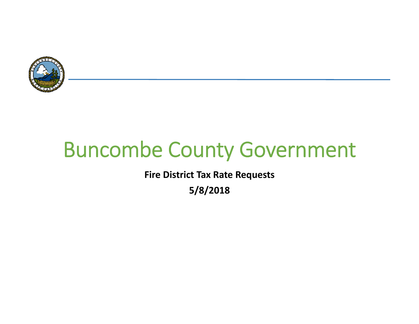

# Buncombe County Government

**Fire District Tax Rate Requests**

**5/8/2018**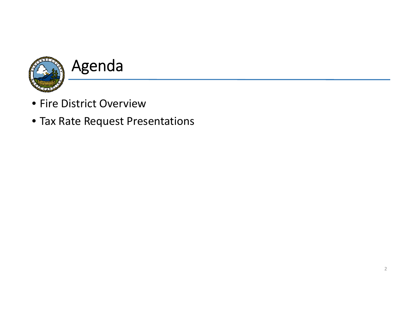

- Fire District Overview
- Tax Rate Request Presentations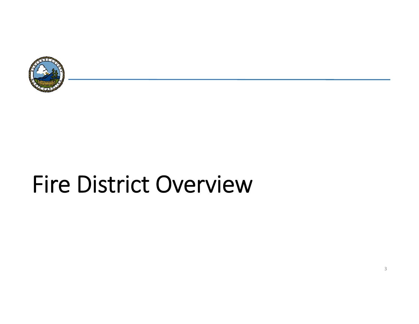

# Fire District Overview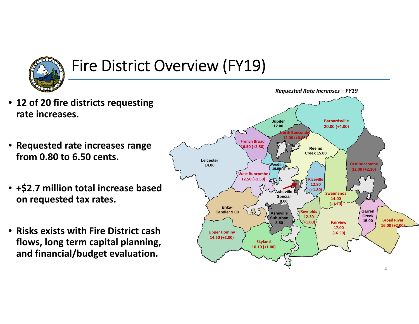

## Fire District Overview (FY19)

- **12 of 20 fire districts requesting rate increases.**
- **Requested rate increases range from 0.80 to 6.50 cents.**
- **+\$2.7 million total increase based on requested tax rates.**
- **Risks exists with Fire District cash flows, long term capital planning, and financial/budget evaluation.**

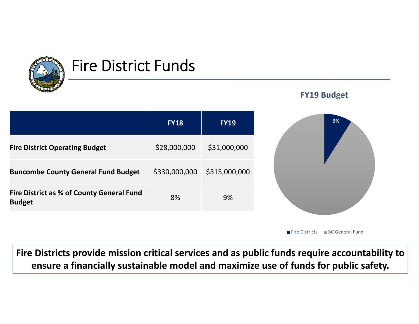

### Fire District Funds



Fire Districts ■ BC General Fund

5**ensure <sup>a</sup> financially sustainable model and maximize use of funds for public safety. Fire Districts provide mission critical services and as public funds require accountability to**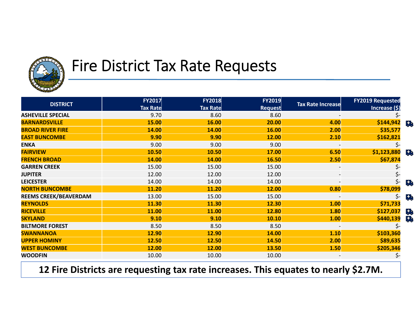

### Fire District Tax Rate Requests

| <b>DISTRICT</b>              | <b>FY2017</b>   | <b>FY2018</b>   | <b>FY2019</b>  |                          | <b>FY2019 Requested</b> |  |
|------------------------------|-----------------|-----------------|----------------|--------------------------|-------------------------|--|
|                              | <b>Tax Rate</b> | <b>Tax Rate</b> | <b>Request</b> | <b>Tax Rate Increase</b> | Increase (\$)           |  |
| <b>ASHEVILLE SPECIAL</b>     | 9.70            | 8.60            | 8.60           |                          |                         |  |
| <b>BARNARDSVILLE</b>         | 15.00           | 16.00           | 20.00          | 4.00                     | \$144,942<br>品          |  |
| <b>BROAD RIVER FIRE</b>      | 14.00           | 14.00           | 16.00          | 2.00                     | \$35,577                |  |
| <b>EAST BUNCOMBE</b>         | 9.90            | 9.90            | 12.00          | 2.10                     | \$162,821               |  |
| <b>ENKA</b>                  | 9.00            | 9.00            | 9.00           |                          |                         |  |
| <b>FAIRVIEW</b>              | 10.50           | 10.50           | 17.00          | 6.50                     | \$1,123,880<br>马        |  |
| <b>FRENCH BROAD</b>          | 14.00           | 14.00           | 16.50          | 2.50                     | \$67,874                |  |
| <b>GARREN CREEK</b>          | 15.00           | 15.00           | 15.00          |                          |                         |  |
| <b>JUPITER</b>               | 12.00           | 12.00           | 12.00          | $\overline{\phantom{a}}$ | 5-                      |  |
| <b>LEICESTER</b>             | 14.00           | 14.00           | 14.00          |                          | 马                       |  |
| <b>NORTH BUNCOMBE</b>        | 11.20           | 11.20           | 12.00          | 0.80                     | \$78,099                |  |
| <b>REEMS CREEK/BEAVERDAM</b> | 13.00           | 15.00           | 15.00          |                          | Ç.                      |  |
| <b>REYNOLDS</b>              | 11.30           | 11.30           | 12.30          | 1.00                     | \$71,733                |  |
| <b>RICEVILLE</b>             | 11.00           | 11.00           | 12.80          | 1.80                     | \$127,037<br><b>Ch</b>  |  |
| <b>SKYLAND</b>               | 9.10            | 9.10            | 10.10          | 1.00                     | 导<br>\$440,139          |  |
| <b>BILTMORE FOREST</b>       | 8.50            | 8.50            | 8.50           |                          |                         |  |
| <b>SWANNANOA</b>             | 12.90           | 12.90           | 14.00          | 1.10                     | \$103,360               |  |
| <b>UPPER HOMINY</b>          | 12.50           | 12.50           | 14.50          | 2.00                     | \$89,635                |  |
| <b>WEST BUNCOMBE</b>         | 12.00           | 12.00           | 13.50          | 1.50                     | \$205,346               |  |
| <b>WOODFIN</b>               | 10.00           | 10.00           | 10.00          |                          | \$-                     |  |

**12** <sup>6</sup> **Fire Districts are requesting tax rate increases. This equates to nearly \$2.7M.**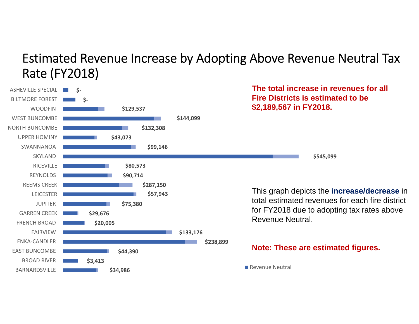#### Estimated Revenue Increase by Adopting Above Revenue Neutral Tax Rate (FY2018)

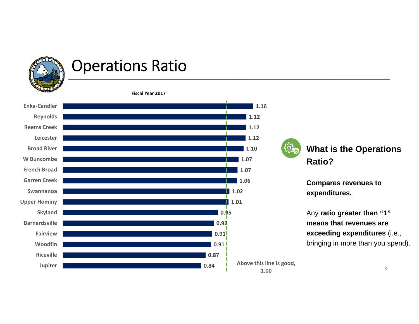

### Operations Ratio

**Fiscal Year 2017**



**What is the Operations Ratio?** 

**Compares revenues to expenditures.** 

Any **ratio greater than "1" means that revenues are exceeding expenditures** (i.e., bringing in more than you spend).

8

**Above this line is good, 1.00**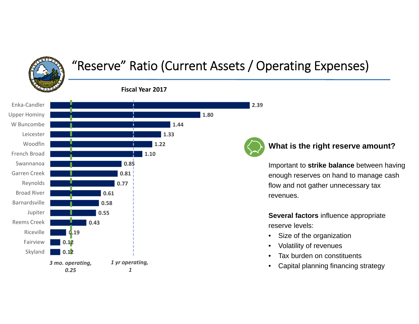### "Reserve" Ratio (Current Assets / Operating Expenses)



**2.39**

#### **What is the right reserve amount?**

Important to **strike balance** between having enough reserves on hand to manage cash flow and not gather unnecessary tax revenues.

**Several factors** influence appropriate reserve levels:

- •Size of the organization
- •Volatility of revenues
- •Tax burden on constituents
- •Capital planning financing strategy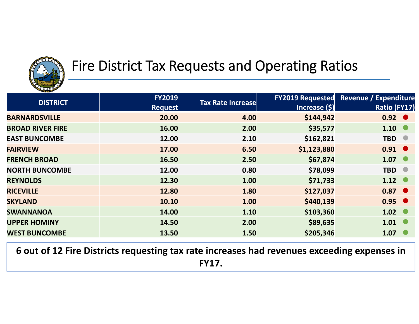

### Fire District Tax Requests and Operating Ratios

| <b>PERSONAL</b>         |                |                          |                         |                              |
|-------------------------|----------------|--------------------------|-------------------------|------------------------------|
| <b>DISTRICT</b>         | <b>FY2019</b>  | <b>Tax Rate Increase</b> | <b>FY2019 Requested</b> | <b>Revenue / Expenditure</b> |
|                         | <b>Request</b> |                          | <b>Increase (\$)</b>    | Ratio (FY17)                 |
| <b>BARNARDSVILLE</b>    | 20.00          | 4.00                     | \$144,942               | $0.92$ $\bullet$             |
| <b>BROAD RIVER FIRE</b> | 16.00          | 2.00                     | \$35,577                | $1.10$ $\bullet$             |
| <b>EAST BUNCOMBE</b>    | 12.00          | 2.10                     | \$162,821               | TBD <sup>O</sup>             |
| <b>FAIRVIEW</b>         | 17.00          | 6.50                     | \$1,123,880             | $0.91$ $\bullet$             |
| <b>FRENCH BROAD</b>     | 16.50          | 2.50                     | \$67,874                | 1.07                         |
| <b>NORTH BUNCOMBE</b>   | 12.00          | 0.80                     | \$78,099                | <b>TBD</b><br><b>O</b>       |
| <b>REYNOLDS</b>         | 12.30          | 1.00                     | \$71,733                | $1.12$ $\bullet$             |
| <b>RICEVILLE</b>        | 12.80          | 1.80                     | \$127,037               | $0.87$ $\bullet$             |
| <b>SKYLAND</b>          | 10.10          | 1.00                     | \$440,139               | $0.95$ $\bullet$             |
| <b>SWANNANOA</b>        | 14.00          | 1.10                     | \$103,360               | $1.02$ $\bullet$             |
| <b>UPPER HOMINY</b>     | 14.50          | 2.00                     | \$89,635                | $1.01$ $\bullet$             |
| <b>WEST BUNCOMBE</b>    | 13.50          | 1.50                     | \$205,346               | $1.07$ $\bullet$             |

**6 out of 12 Fire Districts requesting tax rate increases had revenues exceeding expenses in FY17.**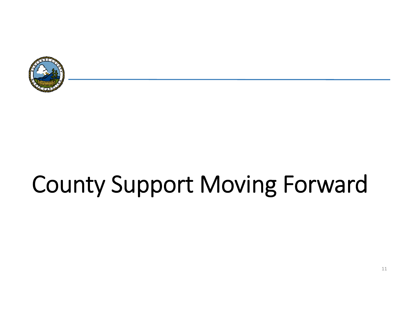

# County Support Moving Forward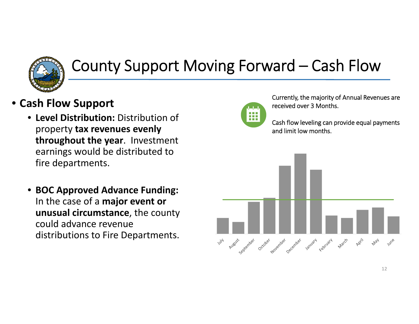

## County Support Moving Forward – Cash Flow

- **Cash Flow Support**
	- **Level Distribution:** Distribution of property **tax revenues evenly throughout the year**. Investment earnings would be distributed to fire departments.
	- **BOC Approved Advance Funding:** In the case of <sup>a</sup> **major event or unusual circumstance**, the county could advance revenue distributions to Fire Departments.



Currently, the majority of Annual Revenues are received over 3 Months.

Cash flow leveling can provide equal payments and limit low months.

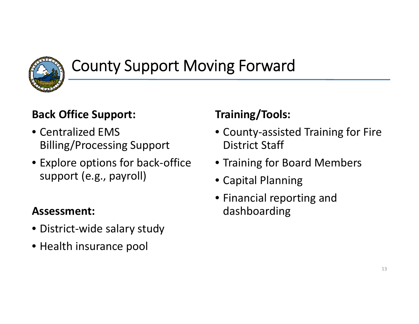

## County Support Moving Forward

#### **Back Office Support:**

- Centralized EMS Billing/Processing Support
- Explore options for back‐office support (e.g., payroll)

#### **Assessment:**

- District‐wide salary study
- Health insurance pool

#### **Training/Tools:**

- County‐assisted Training for Fire District Staff
- Training for Board Members
- Capital Planning
- Financial reporting and dashboarding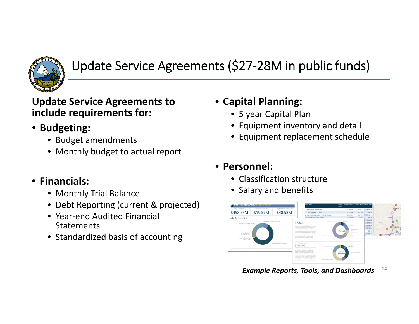

#### Update Service Agreements (\$27‐28M in public funds)

#### **Update Service Agreements to include requirements for:**

- **Budgeting:**
	- Budget amendments
	- Monthly budget to actual report
- **Financials:**
	- Monthly Trial Balance
	- Debt Reporting (current & projected)
	- Year‐end Audited Financial **Statements**
	- Standardized basis of accounting

#### • **Capital Planning:**

- 5 year Capital Plan
- Equipment inventory and detail
- Equipment replacement schedule

#### • **Personnel:**

- Classification structure
- Salary and benefits



14*Example Reports, Tools, and Dashboards*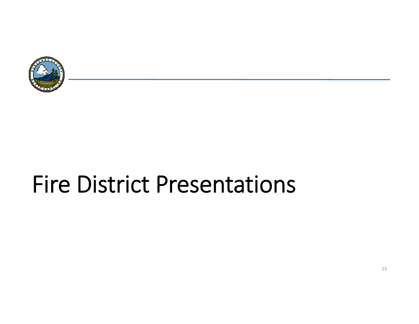

# Fire District Presentations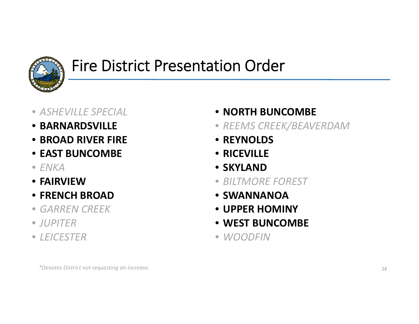

### Fire District Presentation Order

- *ASHEVILLE SPECIAL*
- **BARNARDSVILLE**
- **BROAD RIVER FIRE**
- **EAST BUNCOMBE**
- *ENKA*
- **FAIRVIEW**
- **FRENCH BROAD**
- *GARREN CREEK*
- *JUPITER*
- *LEICESTER*
- **NORTH BUNCOMBE**
- *REEMS CREEK/BEAVERDAM*
- **REYNOLDS**
- **RICEVILLE**
- **SKYLAND**
- *BILTMORE FOREST*
- **SWANNANOA**
- **UPPER HOMINY**
- **WEST BUNCOMBE**
- *WOODFIN*